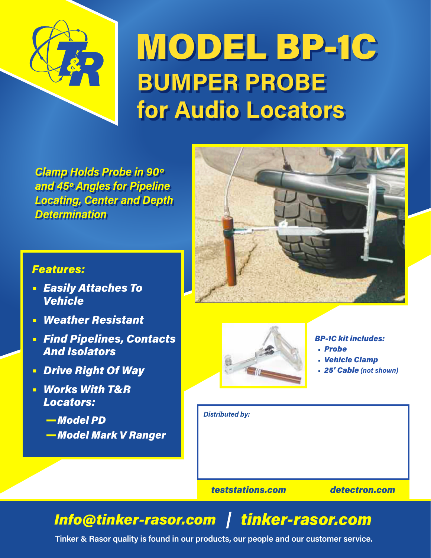

## MODEL BP-1C **BUMPER PROBE for Audio Locators**

*Clamp Holds Probe in 90º and 45º Angles for Pipeline Locating, Center and Depth Determination*

## *Features:*

- **•** *Easily Attaches To Vehicle*
- **•** *Weather Resistant*
- **•** *Find Pipelines, Contacts And Isolators*
- **•** *Drive Right Of Way*
- **•** *Works With T&R Locators:*
	- —*Model PD* —*Model Mark V Ranger*





#### *BP-1C kit includes:*

- *Probe*
	- *Vehicle Clamp*
- *25' Cable (not shown)*

*Distributed by:*

*teststations.com detectron.com*

## *Info@tinker-rasor.com tinker-rasor.com*

**Tinker & Rasor quality is found in our products, our people and our customer service.**